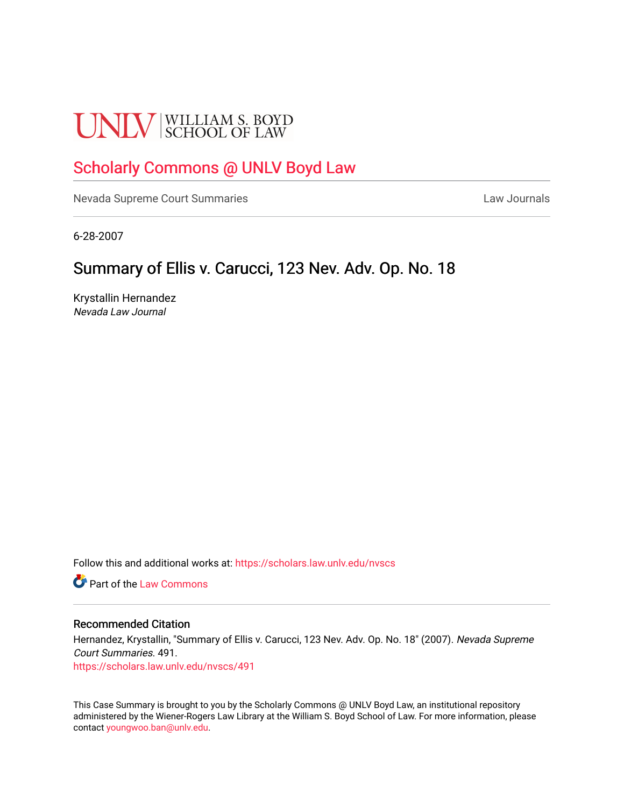# **UNLV** SCHOOL OF LAW

# [Scholarly Commons @ UNLV Boyd Law](https://scholars.law.unlv.edu/)

[Nevada Supreme Court Summaries](https://scholars.law.unlv.edu/nvscs) **Law Journals** Law Journals

6-28-2007

## Summary of Ellis v. Carucci, 123 Nev. Adv. Op. No. 18

Krystallin Hernandez Nevada Law Journal

Follow this and additional works at: [https://scholars.law.unlv.edu/nvscs](https://scholars.law.unlv.edu/nvscs?utm_source=scholars.law.unlv.edu%2Fnvscs%2F491&utm_medium=PDF&utm_campaign=PDFCoverPages)

**C**<sup> $\bullet$ </sup> Part of the [Law Commons](http://network.bepress.com/hgg/discipline/578?utm_source=scholars.law.unlv.edu%2Fnvscs%2F491&utm_medium=PDF&utm_campaign=PDFCoverPages)

#### Recommended Citation

Hernandez, Krystallin, "Summary of Ellis v. Carucci, 123 Nev. Adv. Op. No. 18" (2007). Nevada Supreme Court Summaries. 491.

[https://scholars.law.unlv.edu/nvscs/491](https://scholars.law.unlv.edu/nvscs/491?utm_source=scholars.law.unlv.edu%2Fnvscs%2F491&utm_medium=PDF&utm_campaign=PDFCoverPages)

This Case Summary is brought to you by the Scholarly Commons @ UNLV Boyd Law, an institutional repository administered by the Wiener-Rogers Law Library at the William S. Boyd School of Law. For more information, please contact [youngwoo.ban@unlv.edu](mailto:youngwoo.ban@unlv.edu).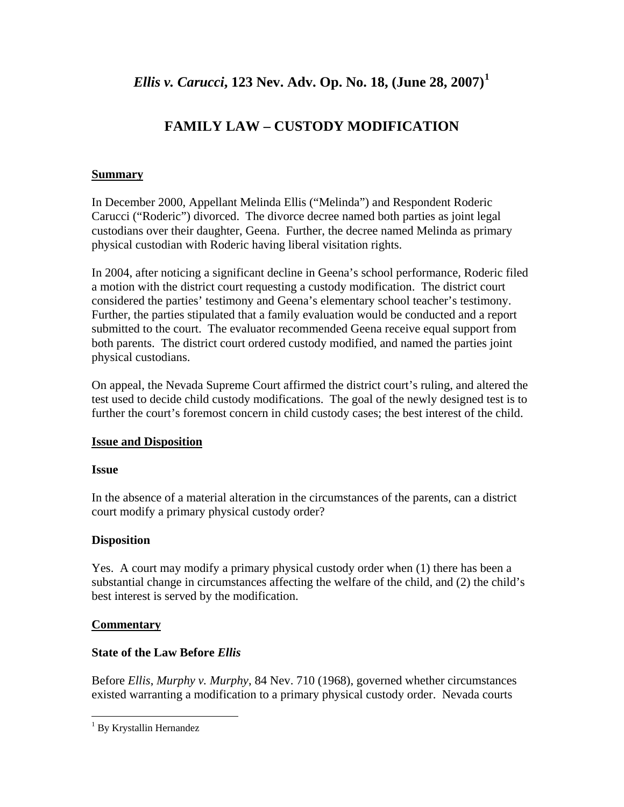*Ellis v. Carucci***, 123 Nev. Adv. Op. No. 18, (June 28, 2007)[1](#page-1-0)**

## **FAMILY LAW – CUSTODY MODIFICATION**

#### **Summary**

In December 2000, Appellant Melinda Ellis ("Melinda") and Respondent Roderic Carucci ("Roderic") divorced. The divorce decree named both parties as joint legal custodians over their daughter, Geena. Further, the decree named Melinda as primary physical custodian with Roderic having liberal visitation rights.

In 2004, after noticing a significant decline in Geena's school performance, Roderic filed a motion with the district court requesting a custody modification. The district court considered the parties' testimony and Geena's elementary school teacher's testimony. Further, the parties stipulated that a family evaluation would be conducted and a report submitted to the court. The evaluator recommended Geena receive equal support from both parents. The district court ordered custody modified, and named the parties joint physical custodians.

On appeal, the Nevada Supreme Court affirmed the district court's ruling, and altered the test used to decide child custody modifications. The goal of the newly designed test is to further the court's foremost concern in child custody cases; the best interest of the child.

## **Issue and Disposition**

#### **Issue**

In the absence of a material alteration in the circumstances of the parents, can a district court modify a primary physical custody order?

## **Disposition**

Yes. A court may modify a primary physical custody order when (1) there has been a substantial change in circumstances affecting the welfare of the child, and (2) the child's best interest is served by the modification.

## **Commentary**

 $\overline{a}$ 

## **State of the Law Before** *Ellis*

Before *Ellis*, *Murphy v. Murphy*, 84 Nev. 710 (1968), governed whether circumstances existed warranting a modification to a primary physical custody order. Nevada courts

<span id="page-1-0"></span><sup>&</sup>lt;sup>1</sup> By Krystallin Hernandez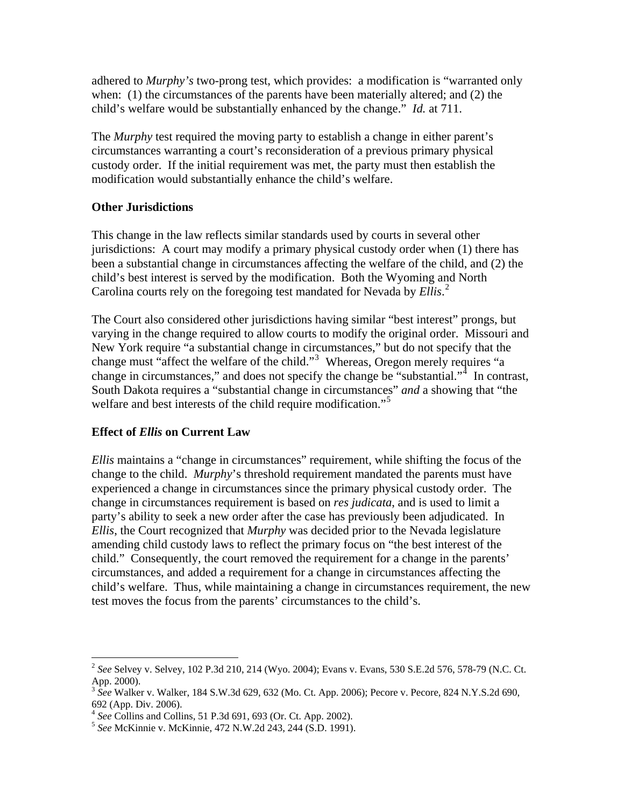adhered to *Murphy's* two-prong test, which provides: a modification is "warranted only when: (1) the circumstances of the parents have been materially altered; and (2) the child's welfare would be substantially enhanced by the change." *Id.* at 711.

The *Murphy* test required the moving party to establish a change in either parent's circumstances warranting a court's reconsideration of a previous primary physical custody order. If the initial requirement was met, the party must then establish the modification would substantially enhance the child's welfare.

#### **Other Jurisdictions**

This change in the law reflects similar standards used by courts in several other jurisdictions: A court may modify a primary physical custody order when (1) there has been a substantial change in circumstances affecting the welfare of the child, and (2) the child's best interest is served by the modification. Both the Wyoming and North Carolina courts rely on the foregoing test mandated for Nevada by *Ellis*. [2](#page-2-0)

The Court also considered other jurisdictions having similar "best interest" prongs, but varying in the change required to allow courts to modify the original order. Missouri and New York require "a substantial change in circumstances," but do not specify that the change must "affect the welfare of the child."<sup>[3](#page-2-1)</sup> Whereas, Oregon merely requires "a change in circumstances," and does not specify the change be "substantial."<sup>[4](#page-2-2)</sup> In contrast, South Dakota requires a "substantial change in circumstances" *and* a showing that "the welfare and best interests of the child require modification."<sup>[5](#page-2-3)</sup>

#### **Effect of** *Ellis* **on Current Law**

 $\overline{a}$ 

*Ellis* maintains a "change in circumstances" requirement, while shifting the focus of the change to the child. *Murphy*'s threshold requirement mandated the parents must have experienced a change in circumstances since the primary physical custody order. The change in circumstances requirement is based on *res judicata*, and is used to limit a party's ability to seek a new order after the case has previously been adjudicated. In *Ellis*, the Court recognized that *Murphy* was decided prior to the Nevada legislature amending child custody laws to reflect the primary focus on "the best interest of the child." Consequently, the court removed the requirement for a change in the parents' circumstances, and added a requirement for a change in circumstances affecting the child's welfare. Thus, while maintaining a change in circumstances requirement, the new test moves the focus from the parents' circumstances to the child's.

<span id="page-2-0"></span><sup>2</sup> *See* Selvey v. Selvey, 102 P.3d 210, 214 (Wyo. 2004); Evans v. Evans, 530 S.E.2d 576, 578-79 (N.C. Ct. App. 2000).

<span id="page-2-1"></span><sup>3</sup> *See* Walker v. Walker, 184 S.W.3d 629, 632 (Mo. Ct. App. 2006); Pecore v. Pecore, 824 N.Y.S.2d 690, 692 (App. Div. 2006).<br><sup>4</sup> See Collins and Collins, 51 P.3d 691, 693 (Or. Ct. App. 2002).

<span id="page-2-3"></span><span id="page-2-2"></span><sup>&</sup>lt;sup>5</sup> See McKinnie v. McKinnie, 472 N.W.2d 243, 244 (S.D. 1991).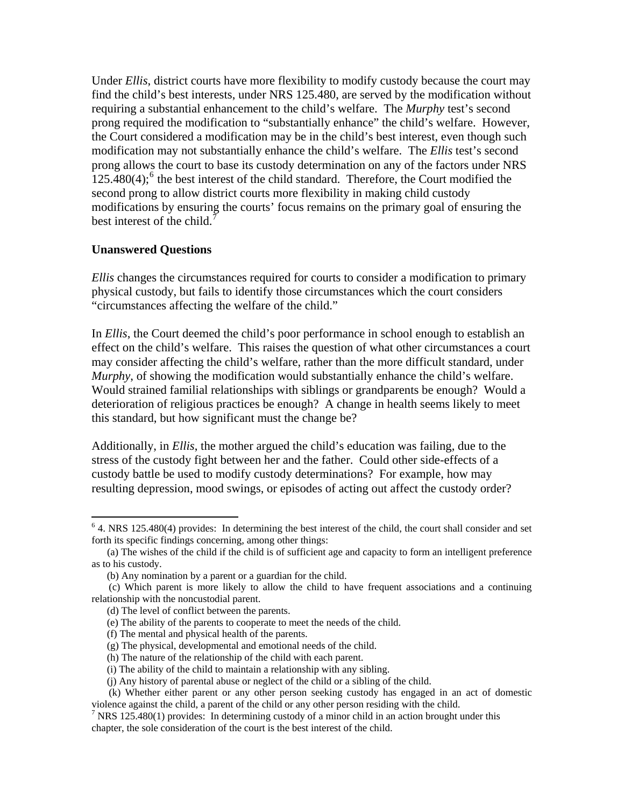Under *Ellis*, district courts have more flexibility to modify custody because the court may find the child's best interests, under NRS 125.480, are served by the modification without requiring a substantial enhancement to the child's welfare. The *Murphy* test's second prong required the modification to "substantially enhance" the child's welfare. However, the Court considered a modification may be in the child's best interest, even though such modification may not substantially enhance the child's welfare. The *Ellis* test's second prong allows the court to base its custody determination on any of the factors under NRS  $125.480(4)$ ; the best interest of the child standard. Therefore, the Court modified the second prong to allow district courts more flexibility in making child custody modifications by ensuring the courts' focus remains on the primary goal of ensuring the best interest of the child.<sup>[7](#page-3-1)</sup>

#### **Unanswered Questions**

 $\overline{a}$ 

*Ellis* changes the circumstances required for courts to consider a modification to primary physical custody, but fails to identify those circumstances which the court considers "circumstances affecting the welfare of the child."

In *Ellis*, the Court deemed the child's poor performance in school enough to establish an effect on the child's welfare. This raises the question of what other circumstances a court may consider affecting the child's welfare, rather than the more difficult standard, under *Murphy*, of showing the modification would substantially enhance the child's welfare. Would strained familial relationships with siblings or grandparents be enough? Would a deterioration of religious practices be enough? A change in health seems likely to meet this standard, but how significant must the change be?

Additionally, in *Ellis*, the mother argued the child's education was failing, due to the stress of the custody fight between her and the father. Could other side-effects of a custody battle be used to modify custody determinations? For example, how may resulting depression, mood swings, or episodes of acting out affect the custody order?

<span id="page-3-0"></span><sup>&</sup>lt;sup>6</sup> 4. NRS 125.480(4) provides: In determining the best interest of the child, the court shall consider and set forth its specific findings concerning, among other things:

 <sup>(</sup>a) The wishes of the child if the child is of sufficient age and capacity to form an intelligent preference as to his custody.

 <sup>(</sup>b) Any nomination by a parent or a guardian for the child.

 <sup>(</sup>c) Which parent is more likely to allow the child to have frequent associations and a continuing relationship with the noncustodial parent.

 <sup>(</sup>d) The level of conflict between the parents.

 <sup>(</sup>e) The ability of the parents to cooperate to meet the needs of the child.

 <sup>(</sup>f) The mental and physical health of the parents.

 <sup>(</sup>g) The physical, developmental and emotional needs of the child.

 <sup>(</sup>h) The nature of the relationship of the child with each parent.

 <sup>(</sup>i) The ability of the child to maintain a relationship with any sibling.

 <sup>(</sup>j) Any history of parental abuse or neglect of the child or a sibling of the child.

 <sup>(</sup>k) Whether either parent or any other person seeking custody has engaged in an act of domestic violence against the child, a parent of the child or any other person residing with the child.

<span id="page-3-1"></span><sup>&</sup>lt;sup>7</sup> NRS 125.480(1) provides: In determining custody of a minor child in an action brought under this chapter, the sole consideration of the court is the best interest of the child.